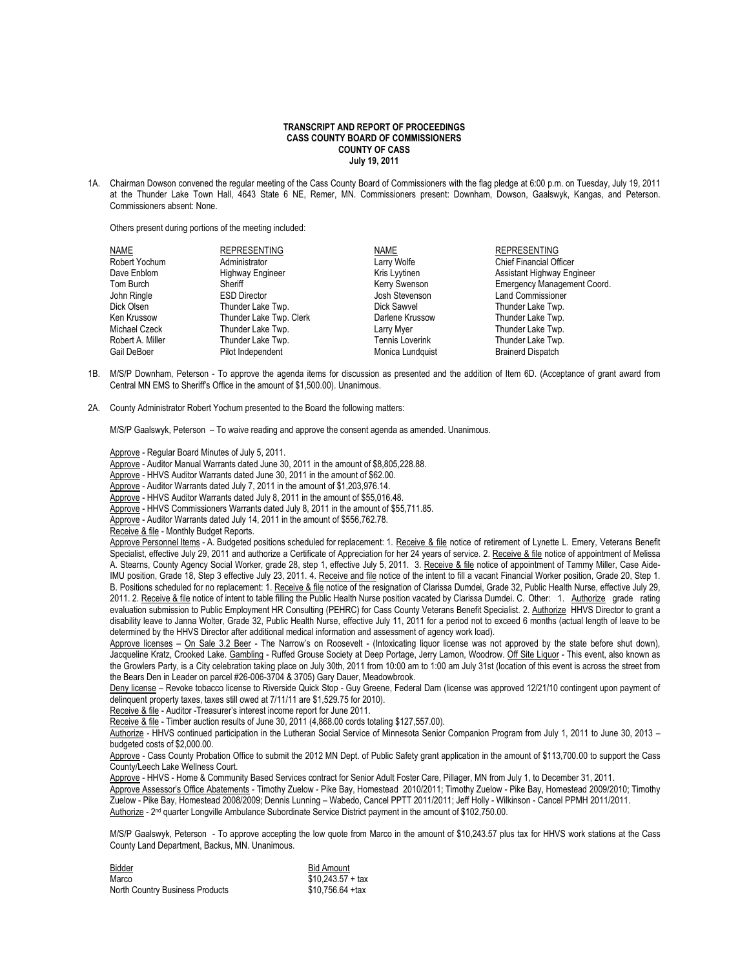## **TRANSCRIPT AND REPORT OF PROCEEDINGS CASS COUNTY BOARD OF COMMISSIONERS COUNTY OF CASS July 19, 2011**

1A. Chairman Dowson convened the regular meeting of the Cass County Board of Commissioners with the flag pledge at 6:00 p.m. on Tuesday, July 19, 2011 at the Thunder Lake Town Hall, 4643 State 6 NE, Remer, MN. Commissioners present: Downham, Dowson, Gaalswyk, Kangas, and Peterson. Commissioners absent: None.

Others present during portions of the meeting included:

| NAME             | <b>REPRESENTING</b>     | NAME                   | <b>REPRESENTING</b>                |
|------------------|-------------------------|------------------------|------------------------------------|
| Robert Yochum    | Administrator           | Larry Wolfe            | <b>Chief Financial Officer</b>     |
| Dave Enblom      | Highway Engineer        | Kris Lyytinen          | Assistant Highway Engineer         |
| Tom Burch        | Sheriff                 | Kerry Swenson          | <b>Emergency Management Coord.</b> |
| John Ringle      | <b>ESD Director</b>     | Josh Stevenson         | <b>Land Commissioner</b>           |
| Dick Olsen       | Thunder Lake Twp.       | Dick Sawvel            | Thunder Lake Twp.                  |
| Ken Krussow      | Thunder Lake Twp. Clerk | Darlene Krussow        | Thunder Lake Twp.                  |
| Michael Czeck    | Thunder Lake Twp.       | Larry Myer             | Thunder Lake Twp.                  |
| Robert A. Miller | Thunder Lake Twp.       | <b>Tennis Loverink</b> | Thunder Lake Twp.                  |
| Gail DeBoer      | Pilot Independent       | Monica Lundquist       | <b>Brainerd Dispatch</b>           |

- 1B. M/S/P Downham, Peterson To approve the agenda items for discussion as presented and the addition of Item 6D. (Acceptance of grant award from Central MN EMS to Sheriff's Office in the amount of \$1,500.00). Unanimous.
- 2A. County Administrator Robert Yochum presented to the Board the following matters:

M/S/P Gaalswyk, Peterson – To waive reading and approve the consent agenda as amended. Unanimous.

Approve - Regular Board Minutes of July 5, 2011.

Approve - Auditor Manual Warrants dated June 30, 2011 in the amount of \$8,805,228.88.

Approve - HHVS Auditor Warrants dated June 30, 2011 in the amount of \$62.00.

Approve - Auditor Warrants dated July 7, 2011 in the amount of \$1,203,976.14.

Approve - HHVS Auditor Warrants dated July 8, 2011 in the amount of \$55,016.48.

- Approve HHVS Commissioners Warrants dated July 8, 2011 in the amount of \$55,711.85.
- Approve Auditor Warrants dated July 14, 2011 in the amount of \$556,762.78.
- Receive & file Monthly Budget Reports.

Approve Personnel Items - A. Budgeted positions scheduled for replacement: 1. Receive & file notice of retirement of Lynette L. Emery, Veterans Benefit Specialist, effective July 29, 2011 and authorize a Certificate of Appreciation for her 24 years of service. 2. Receive & file notice of appointment of Melissa A. Stearns, County Agency Social Worker, grade 28, step 1, effective July 5, 2011. 3. Receive & file notice of appointment of Tammy Miller, Case Aide-IMU position, Grade 18, Step 3 effective July 23, 2011. 4. Receive and file notice of the intent to fill a vacant Financial Worker position, Grade 20, Step 1. B. Positions scheduled for no replacement: 1. Receive & file notice of the resignation of Clarissa Dumdei, Grade 32, Public Health Nurse, effective July 29, 2011. 2. Receive & file notice of intent to table filling the Public Health Nurse position vacated by Clarissa Dumdei. C. Other: 1. Authorize grade rating evaluation submission to Public Employment HR Consulting (PEHRC) for Cass County Veterans Benefit Specialist. 2. Authorize HHVS Director to grant a disability leave to Janna Wolter, Grade 32, Public Health Nurse, effective July 11, 2011 for a period not to exceed 6 months (actual length of leave to be determined by the HHVS Director after additional medical information and assessment of agency work load).

Approve licenses - On Sale 3.2 Beer - The Narrow's on Roosevelt - (Intoxicating liquor license was not approved by the state before shut down), Jacqueline Kratz, Crooked Lake. Gambling - Ruffed Grouse Society at Deep Portage, Jerry Lamon, Woodrow. Off Site Liquor - This event, also known as the Growlers Party, is a City celebration taking place on July 30th, 2011 from 10:00 am to 1:00 am July 31st (location of this event is across the street from the Bears Den in Leader on parcel #26-006-3704 & 3705) Gary Dauer, Meadowbrook.

Deny license - Revoke tobacco license to Riverside Quick Stop - Guy Greene, Federal Dam (license was approved 12/21/10 contingent upon payment of delinquent property taxes, taxes still owed at 7/11/11 are \$1,529.75 for 2010).

Receive & file - Auditor -Treasurer's interest income report for June 2011.

Receive & file - Timber auction results of June 30, 2011 (4,868.00 cords totaling \$127,557.00).

Authorize - HHVS continued participation in the Lutheran Social Service of Minnesota Senior Companion Program from July 1, 2011 to June 30, 2013 – budgeted costs of \$2,000.00.

Approve - Cass County Probation Office to submit the 2012 MN Dept. of Public Safety grant application in the amount of \$113,700.00 to support the Cass County/Leech Lake Wellness Court.

Approve - HHVS - Home & Community Based Services contract for Senior Adult Foster Care, Pillager, MN from July 1, to December 31, 2011.

Approve Assessor's Office Abatements - Timothy Zuelow - Pike Bay, Homestead 2010/2011; Timothy Zuelow - Pike Bay, Homestead 2009/2010; Timothy Zuelow - Pike Bay, Homestead 2008/2009; Dennis Lunning – Wabedo, Cancel PPTT 2011/2011; Jeff Holly - Wilkinson - Cancel PPMH 2011/2011. Authorize - 2<sup>nd</sup> quarter Longville Ambulance Subordinate Service District payment in the amount of \$102,750.00.

M/S/P Gaalswyk, Peterson - To approve accepting the low quote from Marco in the amount of \$10,243.57 plus tax for HHVS work stations at the Cass County Land Department, Backus, MN. Unanimous.

| Bidder                          | <b>Bid Amount</b>  |
|---------------------------------|--------------------|
| Marco                           | $$10.243.57 + tax$ |
| North Country Business Products | $$10.756.64 + tax$ |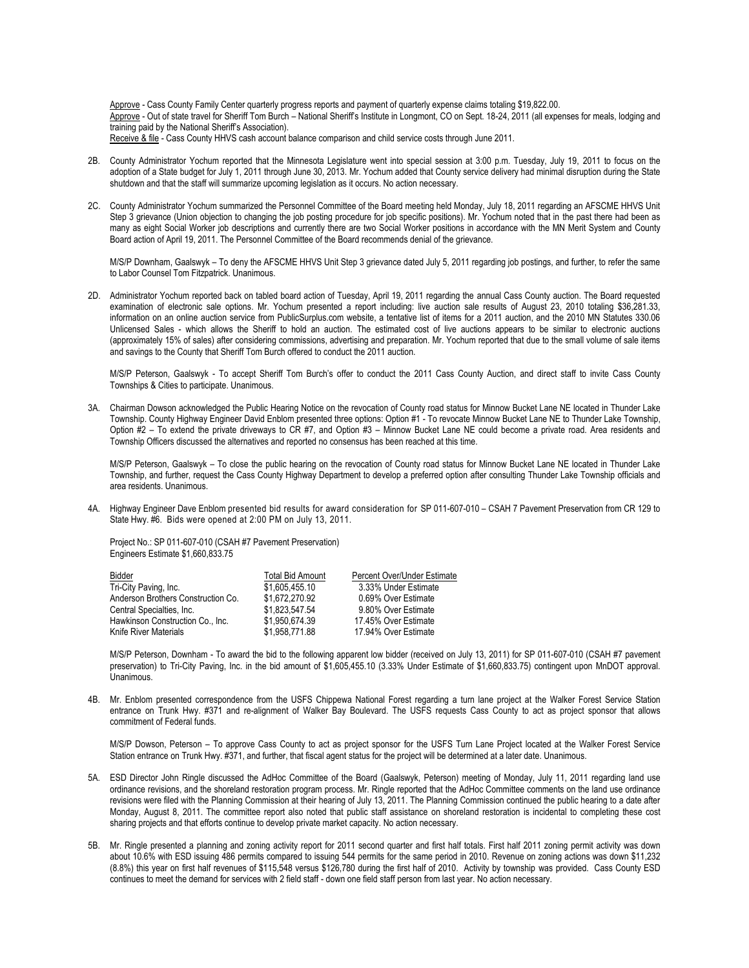Approve - Cass County Family Center quarterly progress reports and payment of quarterly expense claims totaling \$19,822.00. Approve - Out of state travel for Sheriff Tom Burch – National Sheriff's Institute in Longmont, CO on Sept. 18-24, 2011 (all expenses for meals, lodging and training paid by the National Sheriff's Association). Receive & file - Cass County HHVS cash account balance comparison and child service costs through June 2011.

- 2B. County Administrator Yochum reported that the Minnesota Legislature went into special session at 3:00 p.m. Tuesday, July 19, 2011 to focus on the adoption of a State budget for July 1, 2011 through June 30, 2013. Mr. Yochum added that County service delivery had minimal disruption during the State shutdown and that the staff will summarize upcoming legislation as it occurs. No action necessary.
- 2C. County Administrator Yochum summarized the Personnel Committee of the Board meeting held Monday, July 18, 2011 regarding an AFSCME HHVS Unit Step 3 grievance (Union objection to changing the job posting procedure for job specific positions). Mr. Yochum noted that in the past there had been as many as eight Social Worker job descriptions and currently there are two Social Worker positions in accordance with the MN Merit System and County Board action of April 19, 2011. The Personnel Committee of the Board recommends denial of the grievance.

M/S/P Downham, Gaalswyk – To deny the AFSCME HHVS Unit Step 3 grievance dated July 5, 2011 regarding job postings, and further, to refer the same to Labor Counsel Tom Fitzpatrick. Unanimous.

2D. Administrator Yochum reported back on tabled board action of Tuesday, April 19, 2011 regarding the annual Cass County auction. The Board requested examination of electronic sale options. Mr. Yochum presented a report including: live auction sale results of August 23, 2010 totaling \$36,281.33, information on an online auction service from PublicSurplus.com website, a tentative list of items for a 2011 auction, and the 2010 MN Statutes 330.06 Unlicensed Sales - which allows the Sheriff to hold an auction. The estimated cost of live auctions appears to be similar to electronic auctions (approximately 15% of sales) after considering commissions, advertising and preparation. Mr. Yochum reported that due to the small volume of sale items and savings to the County that Sheriff Tom Burch offered to conduct the 2011 auction.

M/S/P Peterson, Gaalswyk - To accept Sheriff Tom Burch's offer to conduct the 2011 Cass County Auction, and direct staff to invite Cass County Townships & Cities to participate. Unanimous.

3A. Chairman Dowson acknowledged the Public Hearing Notice on the revocation of County road status for Minnow Bucket Lane NE located in Thunder Lake Township. County Highway Engineer David Enblom presented three options: Option #1 - To revocate Minnow Bucket Lane NE to Thunder Lake Township, Option #2 – To extend the private driveways to CR #7, and Option #3 – Minnow Bucket Lane NE could become a private road. Area residents and Township Officers discussed the alternatives and reported no consensus has been reached at this time.

M/S/P Peterson, Gaalswyk – To close the public hearing on the revocation of County road status for Minnow Bucket Lane NE located in Thunder Lake Township, and further, request the Cass County Highway Department to develop a preferred option after consulting Thunder Lake Township officials and area residents. Unanimous.

4A. Highway Engineer Dave Enblom presented bid results for award consideration for SP 011-607-010 – CSAH 7 Pavement Preservation from CR 129 to State Hwy. #6. Bids were opened at 2:00 PM on July 13, 2011.

Project No.: SP 011-607-010 (CSAH #7 Pavement Preservation) Engineers Estimate \$1,660,833.75

| Bidder                             | <b>Total Bid Amount</b> | Percent Over/Under Estimate |
|------------------------------------|-------------------------|-----------------------------|
| Tri-City Paving, Inc.              | \$1,605,455.10          | 3.33% Under Estimate        |
| Anderson Brothers Construction Co. | \$1.672.270.92          | 0.69% Over Estimate         |
| Central Specialties, Inc.          | \$1.823.547.54          | 9.80% Over Estimate         |
| Hawkinson Construction Co., Inc.   | \$1,950,674.39          | 17.45% Over Estimate        |
| <b>Knife River Materials</b>       | \$1.958.771.88          | 17.94% Over Estimate        |

M/S/P Peterson, Downham - To award the bid to the following apparent low bidder (received on July 13, 2011) for SP 011-607-010 (CSAH #7 pavement preservation) to Tri-City Paving, Inc. in the bid amount of \$1,605,455.10 (3.33% Under Estimate of \$1,660,833.75) contingent upon MnDOT approval. Unanimous.

4B. Mr. Enblom presented correspondence from the USFS Chippewa National Forest regarding a turn lane project at the Walker Forest Service Station entrance on Trunk Hwy. #371 and re-alignment of Walker Bay Boulevard. The USFS requests Cass County to act as project sponsor that allows commitment of Federal funds.

M/S/P Dowson, Peterson – To approve Cass County to act as project sponsor for the USFS Turn Lane Project located at the Walker Forest Service Station entrance on Trunk Hwy. #371, and further, that fiscal agent status for the project will be determined at a later date. Unanimous.

- 5A. ESD Director John Ringle discussed the AdHoc Committee of the Board (Gaalswyk, Peterson) meeting of Monday, July 11, 2011 regarding land use ordinance revisions, and the shoreland restoration program process. Mr. Ringle reported that the AdHoc Committee comments on the land use ordinance revisions were filed with the Planning Commission at their hearing of July 13, 2011. The Planning Commission continued the public hearing to a date after Monday, August 8, 2011. The committee report also noted that public staff assistance on shoreland restoration is incidental to completing these cost sharing projects and that efforts continue to develop private market capacity. No action necessary.
- 5B. Mr. Ringle presented a planning and zoning activity report for 2011 second quarter and first half totals. First half 2011 zoning permit activity was down about 10.6% with ESD issuing 486 permits compared to issuing 544 permits for the same period in 2010. Revenue on zoning actions was down \$11,232 (8.8%) this year on first half revenues of \$115,548 versus \$126,780 during the first half of 2010. Activity by township was provided. Cass County ESD continues to meet the demand for services with 2 field staff - down one field staff person from last year. No action necessary.